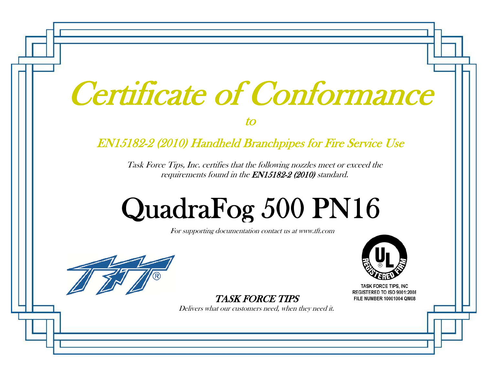| Certificate of Conformance |
|----------------------------|
|                            |
|                            |

to

### EN15182-2 (2010) Handheld Branchpipes for Fire Service Use

Task Force Tips, Inc. certifies that the following nozzles meet or exceed the requirements found in the EN15182-2 (2010) standard.

# QuadraFo g 500 PN16

For supporting documentation contact us at www.tft.com



**TASK FORCE TIPS. INC** REGISTERED TO ISO 9001:2008 FILE NUMBER 10001004 QM08

TASK FORCE TIPS

Delivers what our customers need, when they need it.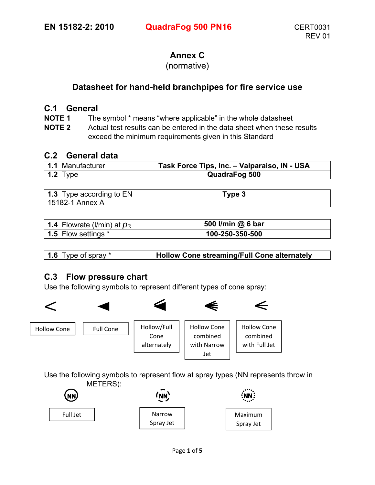#### **Annex C**

#### (normative)

#### **Datasheet for hand-held branchpipes for fire service use**

#### **C.1 General**

**NOTE 1** The symbol \* means "where applicable" in the whole datasheet

**NOTE 2** Actual test results can be entered in the data sheet when these results exceed the minimum requirements given in this Standard

#### **C.2 General data**

| 1.1 Manufacturer | Task Force Tips, Inc. - Valparaiso, IN - USA |
|------------------|----------------------------------------------|
| 1.2 Type         | <b>QuadraFog 500</b>                         |

| <b>1.3</b> Type according to EN | Туре 3 |
|---------------------------------|--------|
| 15182-1 Annex A                 |        |

| 1.4 Flowrate (I/min) at $p_R$ | 500 I/min @ 6 bar |
|-------------------------------|-------------------|
| 1.5 Flow settings *           | 100-250-350-500   |

| <b>1.6</b> Type of spray * | <b>Hollow Cone streaming/Full Cone alternately</b> |
|----------------------------|----------------------------------------------------|

#### **C.3 Flow pressure chart**

Use the following symbols to represent different types of cone spray:



Use the following symbols to represent flow at spray types (NN represents throw in METERS):

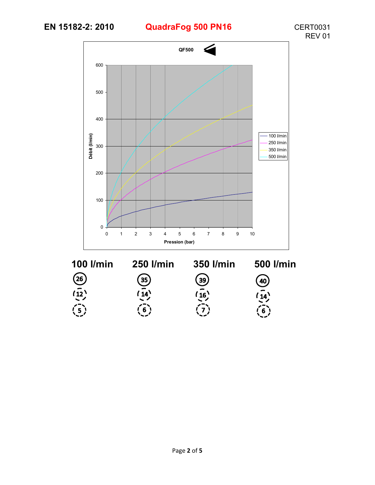## **EN 15182-2: 2010 QuadraFog 500 PN16** CERT0031



 $\overline{\frac{(14)}{6}}$ 



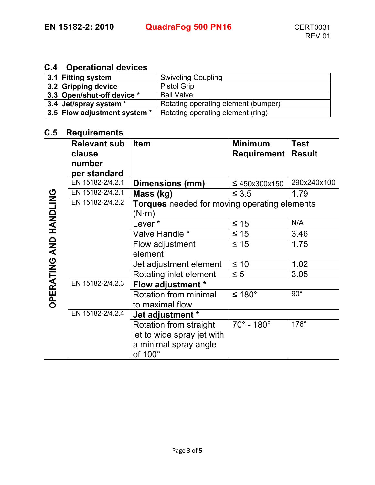#### **C.4 Operational devices**

| 3.1 Fitting system           | <b>Swiveling Coupling</b>           |
|------------------------------|-------------------------------------|
| 3.2 Gripping device          | <b>Pistol Grip</b>                  |
| 3.3 Open/shut-off device *   | <b>Ball Valve</b>                   |
| 3.4 Jet/spray system *       | Rotating operating element (bumper) |
| 3.5 Flow adjustment system * | Rotating operating element (ring)   |

#### **C.5 Requirements**

|                               | <b>Relevant sub</b> | <b>Item</b>                                  | <b>Minimum</b>                | <b>Test</b> |
|-------------------------------|---------------------|----------------------------------------------|-------------------------------|-------------|
|                               | clause              |                                              | <b>Requirement   Result</b>   |             |
|                               | number              |                                              |                               |             |
|                               | per standard        |                                              |                               |             |
|                               | EN 15182-2/4.2.1    | Dimensions (mm)                              | $\leq 450x300x150$            | 290x240x100 |
|                               | EN 15182-2/4.2.1    | Mass (kg)                                    | $\leq 3.5$                    | 1.79        |
|                               | EN 15182-2/4.2.2    | Torques needed for moving operating elements |                               |             |
|                               |                     | $(N\!\cdot\!m)$                              |                               |             |
|                               |                     | Lever*                                       | $\leq 15$                     | N/A         |
| <b>OPERATING AND HANDLING</b> |                     | Valve Handle *                               | $\leq 15$                     | 3.46        |
|                               |                     | Flow adjustment                              | $\leq 15$                     | 1.75        |
|                               |                     | element                                      |                               |             |
|                               |                     | Jet adjustment element                       | $\leq 10$                     | 1.02        |
|                               |                     | Rotating inlet element                       | $\leq 5$                      | 3.05        |
|                               | EN 15182-2/4.2.3    | Flow adjustment *                            |                               |             |
|                               |                     | Rotation from minimal                        | ≤ 180°                        | $90^\circ$  |
|                               |                     | to maximal flow                              |                               |             |
|                               | EN 15182-2/4.2.4    | Jet adjustment *                             |                               |             |
|                               |                     | Rotation from straight                       | $70^{\circ}$ - 180 $^{\circ}$ | 176°        |
|                               |                     | jet to wide spray jet with                   |                               |             |
|                               |                     | a minimal spray angle                        |                               |             |
|                               |                     | of 100°                                      |                               |             |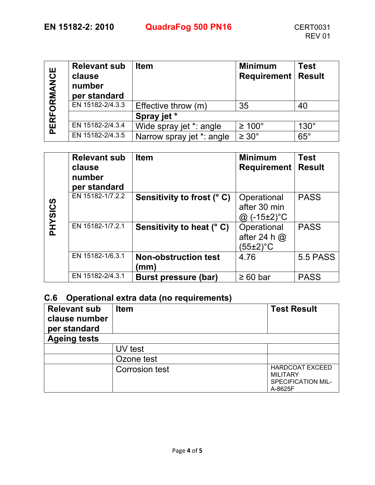## **EN 15182-2: 2010 QuadraFog 500 PN16** CERT0031

| RFORMANCE | <b>Relevant sub</b><br>clause<br>number<br>per standard | <b>Item</b>               | <b>Minimum</b><br><b>Requirement   Result</b> | <b>Test</b> |
|-----------|---------------------------------------------------------|---------------------------|-----------------------------------------------|-------------|
|           | EN 15182-2/4.3.3                                        | Effective throw (m)       | 35                                            | 40          |
|           |                                                         | Spray jet *               |                                               |             |
| 짇         | EN 15182-2/4.3.4                                        | Wide spray jet *: angle   | $\geq 100^{\circ}$                            | $130^\circ$ |
|           | EN 15182-2/4.3.5                                        | Narrow spray jet *: angle | $\geq 30^{\circ}$                             | $65^\circ$  |

|                | <b>Relevant sub</b><br>clause<br>number<br>per standard | <b>Item</b>                         | <b>Minimum</b><br><b>Requirement</b>         | <b>Test</b><br><b>Result</b> |
|----------------|---------------------------------------------------------|-------------------------------------|----------------------------------------------|------------------------------|
| <b>PHYSICS</b> | EN 15182-1/7.2.2                                        | Sensitivity to frost (°C)           | Operational<br>after 30 min<br>@ (-15±2)°C   | <b>PASS</b>                  |
|                | EN 15182-1/7.2.1                                        | Sensitivity to heat (° C)           | Operational<br>after 24 h $@$<br>$(55±2)$ °C | <b>PASS</b>                  |
|                | EN 15182-1/6.3.1                                        | <b>Non-obstruction test</b><br>(mm) | 4.76                                         | <b>5.5 PASS</b>              |
|                | EN 15182-2/4.3.1                                        | <b>Burst pressure (bar)</b>         | $\geq 60$ bar                                | <b>PASS</b>                  |

#### **C.6 Operational extra data (no requirements)**

| <b>Relevant sub</b><br>clause number<br>per standard | <b>Item</b>           | <b>Test Result</b>                                                                |
|------------------------------------------------------|-----------------------|-----------------------------------------------------------------------------------|
| <b>Ageing tests</b>                                  |                       |                                                                                   |
|                                                      | UV test               |                                                                                   |
|                                                      | Ozone test            |                                                                                   |
|                                                      | <b>Corrosion test</b> | <b>HARDCOAT EXCEED</b><br><b>MILITARY</b><br><b>SPECIFICATION MIL-</b><br>A-8625F |